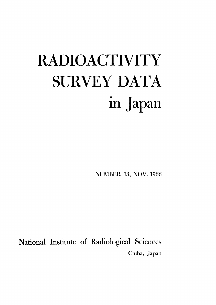# **RADIOACTIVITY** SURVEY DATA in Japan

NUMBER 13, NOV. 1966

National Institute of Radiological Sciences Chiba, Japan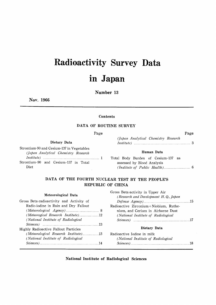# **Radioactivity Survey Data** in Japan

Number 13

Nov. 1966

#### Contents

#### DATA OF ROUTINE SURVEY

Page

Dietary Data

Strontium-90 and Cesium-137 in Vegetables (Japan Analytical Chemistry Research Strontium-90 and Cesium-137 in Total Diet

#### Human Data

(Japan Analytical Chemistry Research

Page

Total Body Burden of Cesium-137 as assessed by Blood Analysis 

#### DATA OF THE FOURTH NUCLEAR TEST BY THE PEOPLE'S REPUBLIC OF CHINA

#### Meteorological Data

| Gross Beta-radioactivity and Activity of                                                                                        |
|---------------------------------------------------------------------------------------------------------------------------------|
| Radio-iodine in Rain and Dry Fallout                                                                                            |
|                                                                                                                                 |
|                                                                                                                                 |
| (National Institute of Radiological                                                                                             |
| $Sciences$ $\ldots$ $\ldots$ $\ldots$ $\ldots$ $\ldots$ $\ldots$ $\ldots$ $\ldots$ $\ldots$ $\ldots$ $\ldots$ $\ldots$ $\ldots$ |
| Highly Radioactive Fallout Particles                                                                                            |
| (Meteorological Research Institute)13                                                                                           |
| (National Institute of Radiological                                                                                             |
| $Science$ $14$                                                                                                                  |
|                                                                                                                                 |

| Gross Beta-activity in Upper Air      |  |
|---------------------------------------|--|
| (Research and Development H.Q., Japan |  |
|                                       |  |
| Radioactive Zirconium+Niobium, Ruthe- |  |
| nium, and Cerium in Airborne Dust     |  |
| (National Institute of Radiological   |  |
| $Sciences$ $17$                       |  |
|                                       |  |

#### Dietary Data

| Radioactive Iodine in milk          |
|-------------------------------------|
| (National Institute of Radiological |
| $Science$ $18$                      |

National Institute of Radiological Sciences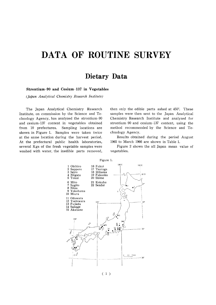# DATA OF ROUTINE SURVEY

### Dietary Data

#### Strontium-90 and Cesium-137 in Vegetables

(Japan Analytical Chemistry Research Institute)

The Japan Analytical Chemistry Research Institute, on commission by the Science and Technology Agency, has analyzed the strontium-90 and cesium-137 content in vegetables obtained from 10 prefectures. Sampling locations are shown in Figure 1. Samples were taken twice at the same location during the harvest period. At the prefectural public health laboratories, several Kgs of the fresh vegetable samples were washed with water, the inedible parts removed,

then only the edible parts ashed at 450°. These samples were then sent to the Japan Analytical Chemistry Research Institute and analyzed for strontium-90 and cesium-137 content, using the method recommended by the Science and Technology Agency.

Results obtained during the period August 1965 to March 1966 are shown in Table 1.

Figure 2 shows the all Japan mean value of vegetables.



 $(1)$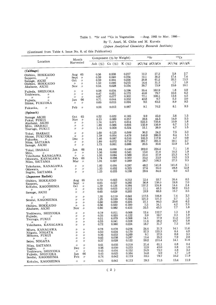#### Table 1.  $90Sr$  and  $137Cs$  in Vegetables -Aug. 1965 to Mar. 1966-

By T. Asari, M. Chiba and M. Kuroda

(Japan Analytical Chemistry Research Institute)

(Continued from Table 4. Issue No. 8, of this Publication)

|                                                                                                                            | Month                                                                                                                                                                                           | Component $(\%$ by Weight)           |                                           |                                           |                                              | 90Sr                                        | 137Cs                                    |                                              |
|----------------------------------------------------------------------------------------------------------------------------|-------------------------------------------------------------------------------------------------------------------------------------------------------------------------------------------------|--------------------------------------|-------------------------------------------|-------------------------------------------|----------------------------------------------|---------------------------------------------|------------------------------------------|----------------------------------------------|
| Location                                                                                                                   | Harvested                                                                                                                                                                                       | Ash $(\% )$                          | Ca $(\%)$ K $(\%)$                        |                                           |                                              | pCi/kg pCi/gCa                              |                                          | pCi/kg pCi/gK                                |
| (Cabbage)                                                                                                                  |                                                                                                                                                                                                 |                                      |                                           |                                           |                                              |                                             |                                          |                                              |
| Obihiro, HOKKAIDO<br>Sapporo,<br>11<br>Sanage, AICHI<br>Obihiro, HOKKAIDO<br>Akabane, AICHI                                | 65<br>Aug<br>$^{\prime\prime}$<br>Sept<br>Oct.<br>$^{\prime\prime}$<br>$^{\prime\prime}$<br>$^{\prime\prime}$<br>Nov<br>$^{\prime\prime}$                                                       | 0.56<br>0.59<br>0.59<br>1.52<br>0.54 | 0.038<br>0.040<br>0.034<br>0.046<br>0.028 | 0.217<br>0.234<br>0.256<br>0.215<br>0.154 | 10.2<br>12.1<br>20.8<br>14.4<br>20.7         | 27.2<br>30.2<br>61.2<br>31.3<br>73.9        | 5.8<br>17.4<br>35.3<br>1.7<br>15.6       | 2.7<br>7.4<br>13.3<br>1.9<br>10.1            |
| Fujieda, SHIZUOKA<br>Yoshiwara,<br>$^{\prime\prime}$<br>v<br>$^{\prime\prime}$                                             | $^{\prime\prime}$<br>$^{\prime\prime}$<br>$^{\prime\prime}$<br>$^{\prime\prime}$<br>$^{\prime\prime}$<br>$^{\prime\prime}$<br>66<br>Jan                                                         | 0.58<br>0.47<br>0.87<br>0.71         | 0.034<br>0.051<br>0.077<br>0.044          | 0.196<br>0.172<br>0.302<br>0.252          | 55.4<br>40.6<br>77.1<br>42.8                 | 162.9<br>79.7<br>100.1<br>9.7               | 1.8<br>10.6<br>13.6<br>5.2               | 0.9<br>6.2<br>4.5<br>2.0                     |
| Fujieda,<br>$^{\prime\prime}$<br>Shime, FUKUOKA                                                                            | $^{\prime\prime}$<br>$^{\prime\prime}$                                                                                                                                                          | 0.65                                 | 0.015                                     | 0.094                                     | 9.5                                          | 63.5                                        | 8.9                                      | 9.5                                          |
| Fukuoka,<br>$^{\prime\prime}$                                                                                              | Feb<br>$^{\prime\prime}$                                                                                                                                                                        | 0.56                                 | 0.013                                     | 0.087                                     | 9.1                                          | 70.2                                        | 8.1                                      | 9.3                                          |
| (Spinach)<br>Sanage AICHI<br>Fukui, FUKUI<br>Akabane, AICHI<br>Mito, IBARAGI<br>Tsuruga, FUKUI                             | 65<br>Oct<br>Nov<br>$^{\prime\prime}$<br>$^{\prime\prime}$<br>$^{\prime\prime}$<br>ŋ<br>$^{\prime\prime}$<br>$^{\prime\prime}$<br>11                                                            | 0.52<br>0.13<br>1.74<br>1.89<br>1.15 | 0.022<br>0.089<br>0.071<br>0.086<br>0.058 | 0.185<br>0.257<br>0.614<br>0.605<br>0.324 | 9.9<br>39.6<br>522.3<br>135.9<br>15.1        | 45.0<br>44.5<br>735.6<br>156.9<br>26.0      | 3.8<br>14.0<br>10.9<br>6.7<br>4.7        | 1.5<br>5.5<br>1.8<br>1.3<br>1.5              |
| Tokai, IBARAGI<br>Shime, FUKUOKA<br>Fukuoka,<br>11<br>Niiza, SAITAMA<br>Sanage, AICHI                                      | $\prime$<br>IJ<br>n<br>IJ<br>Dec<br>$^{\prime\prime}$<br>$^{\prime\prime}$<br>$^{\prime\prime}$<br>$^{\prime\prime}$<br>$^{\prime\prime}$                                                       | 1.60<br>1.39<br>1.46<br>1.80<br>1.75 | 0.125<br>0.054<br>0.087<br>0.072<br>0.061 | 0.509<br>0.479<br>0.510<br>0.716<br>0.666 | 30.2<br>140.9<br>102.3<br>281.7<br>20.5      | 24.2<br>260.9<br>117.6<br>391.3<br>33.6     | 7.5<br>6.4<br>4.7<br>19.1<br>12.9        | 3.3<br>1.3<br>0.9<br>2.7<br>1.9              |
| Tokai, IBARAGI<br>Mito,<br>v<br>Yokohama KANAGAWA<br>Odawara, KANAGAWA<br>Niiza, SAITAMA                                   | 66<br>Jan<br>$\prime\prime$<br>$^{\prime\prime}$<br>$\prime$<br>$^{\prime\prime}$<br>66<br>Feb<br>Mar<br>$^{\prime\prime}$                                                                      | 1.84<br>1.56<br>1.55<br>1.74<br>1.91 | 0.090<br>0.062<br>0.084<br>0.098<br>0.027 | 0.448<br>0.541<br>0.588<br>0.592<br>0.289 | 202.0<br>13.0<br>23.4<br>33.2<br>28.7        | 224.4<br>21.0<br>27.9<br>33.9<br>106.3      | 7.1<br>10.2<br>25.3<br>19.5<br>27.3      | 1.6<br>1.9<br>4.3<br>3.3<br>9.5              |
| Yokohama, KANAGAWA<br>Odawara,<br>11<br>Sugito, SAITAMA                                                                    | $^{\prime\prime}$<br>$\prime$<br>$^{\prime\prime}$<br>$^{\prime\prime}$<br>$\prime$<br>$\prime$                                                                                                 | 1.82<br>1.33<br>1.25                 | 0.034<br>0.032<br>0.035                   | 0.287<br>0.325<br>0.198                   | 48.2<br>17.6<br>29.6                         | 141.8<br>55.0<br>84.6                       | 141.8<br>28.8<br>9.0                     | 5.1<br>12.8<br>4.5                           |
| (Japanese Radish)<br>Obihiro, HOKKAIDO<br>Sapporo,<br>IJ.<br>Kokubu, KAGOSHIMA<br>$^{\prime\prime}$<br>IJ<br>Sanage, AICHI | 65<br>Aug<br>Sept<br>$^{\prime\prime}$<br>Oct<br>$^{\prime\prime}$<br>$\prime\prime$<br>$^{\prime\prime}$<br>$^{\prime\prime}$<br>$^{\prime\prime}$                                             | 0.70<br>0.65<br>1.39<br>0.55<br>0.65 | 0.023<br>0.027<br>0.126<br>0.023<br>0.029 | 0.312<br>0.285<br>0.384<br>0.212<br>0.265 | 12.4<br>36.8<br>157.2<br>11.1<br>19.9        | 53.7<br>138.0<br>124.8<br>48.3<br>68.6      | 26.4<br>19.8<br>14.4<br>58.9<br>15.7     | 8.5<br>7.0<br>2.4<br>15.3<br>2.5             |
| $\prime$<br>$^{\prime\prime}$<br>Sendai, KAGOSHIMA<br>$\prime$<br>IJ<br>Obihiro, HOKKAIDO<br>Akabane, AICHI                | $^{\prime\prime}$<br>$^{\prime\prime}$<br>$^{\prime\prime}$<br>$^{\prime\prime}$<br>$\prime$<br>$\prime$<br>$\prime$<br>$^{\prime\prime}$<br>Nov<br>$^{\prime\prime}$                           | 1.55<br>1.25<br>0.60<br>0.56<br>0.60 | 0.110<br>0.100<br>0.030<br>0.022<br>0.082 | 0.641<br>0.334<br>0.225<br>0.180<br>0.433 | 117.5<br>121.2<br>27.1<br>7.5<br>35.5        | 106.8<br>121.2<br>90.3<br>34.1<br>43.3      | 7.4<br>2.7<br>20.6<br>4.2<br>7.7         | 3.3<br>1.3<br>6.2<br>2.3<br>1.8              |
| Yoshiwara, SHIZUOKA<br>Fujiede, $\gamma$<br>Tsuruga, FUKUI<br>$^{\prime\prime}$<br>$^{\prime\prime}$<br>Yokohama, KANAGAWA | $^{\prime\prime}$<br>$^{\prime\prime}$<br>$^{\prime\prime}$<br>11<br>$^{\prime\prime}$<br>$^{\prime\prime}$<br>$^{\prime\prime}$<br>$^{\prime\prime}$<br>$^{\prime\prime}$<br>$^{\prime\prime}$ | 0.19<br>0.35<br>0.51<br>0.55<br>0.72 | 0.011<br>0.020<br>0.079<br>0.041<br>0.060 | 0.068<br>0.122<br>0.368<br>0.328<br>0.224 | 12.4<br>3.9<br>14.1<br>11.6<br>18.7          | 112.7<br>19.7<br>17.9<br>28.2<br>31.7       | 1.3<br>2.3<br>11.2<br>19.7<br>7.3        | 1.9<br>1.9<br>3.0<br>5.8<br>3.6              |
| Miura, KANAGAWA<br>Niigata, NIIGATA<br>Mihama, FUKUI<br>$\prime$<br>$^{\prime\prime}$<br>Seiro, NIIGATA                    | $^{\prime\prime}$<br>$^{\prime\prime}$<br>$^{\prime\prime}$<br>11<br>$^{\prime\prime}$<br>11<br>11<br>11<br>$^{\prime\prime}$<br>11                                                             | 0.78<br>0.50<br>0.36<br>0.45<br>0.37 | 0.078<br>0.034<br>0.033<br>0.038<br>0.028 | 0.204<br>0.170<br>0.269<br>0.287<br>0.122 | 24.4<br>57.3<br>9.1<br>13.4<br>59.2          | 31.3<br>133.3<br>27.5<br>35.2<br>211.4      | 14.1<br>8.4<br>8.8<br>7.9<br>14.1        | 11.6<br>4.9<br>3.3<br>2.8<br>11.6            |
| Niiza, SAITAMA<br>Sugito,<br>$\prime$<br>Yoshiwara, SHIZUOKA<br>Fujieda, SHIZUOKA<br>Sendai, KAGOSHIMA                     | $^{\prime\prime}$<br>$\prime$<br>Dec<br>$^{\prime\prime}$<br>$\prime$<br>$^{\prime\prime}$<br>66<br>Jan<br>Feb<br>$\prime\prime$                                                                | 0.61<br>0.56<br>0.45<br>0.45<br>0.74 | 0.035<br>0.030<br>0.034<br>0.025<br>0.042 | 0.218<br>0.233<br>0.152<br>0.164<br>0.119 | 21.4<br>12.9<br>24.9<br>14.8<br>33.5<br>29.3 | 61.1<br>43.0<br>73.2<br>5.9<br>79.7<br>71.5 | 0.8<br>3.8<br>4.8<br>1.7<br>10.2<br>13.4 | 0.4<br>1.6<br>3.2<br>$1.0\,$<br>11.9<br>11.9 |
| Kokubu, KAGOSHIMA                                                                                                          | $^{\prime\prime}$<br>$^{\prime\prime}$                                                                                                                                                          | 0.71                                 | 0.041                                     | 0.113                                     |                                              |                                             |                                          |                                              |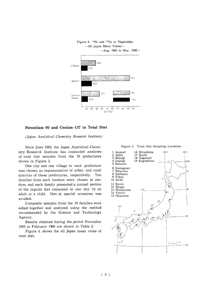

#### Figure 2. <sup>90</sup>Sr and <sup>137</sup>Cs in Vegetables -All Japan Mean Values-

#### Strontium-90 and Cesium-137 in Total Diet

(Japan Analytical Chemistry Research Institute)

Since June 1963, the Japan Analytical Chemistry Research Institute has conducted analyses of total diet samples from the 19 prefectures shown in Figure 3.

One city and one village in each prefecture was chosen as representative of urban and rural districts of these prefectures, respectively. Ten families from each location were chosen at random, and each family presented a normal portion of the regular diet consumed in one day by an adult or a child. Diet at special occasions was avoided.

Composite samples from the 10 families were ashed together and analyzed using the method recommended by the Science and Technology Agency.

Results obtained during the period November 1965 to February 1966 are shown in Table 2.

Figure 4. shows the all Japan mean value of total diet.



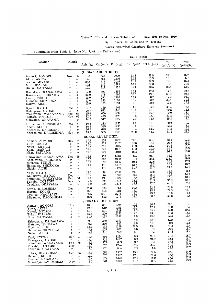#### Table 2.  $^{90}Sr$  and  $^{137}Cs$  in Total Diet --Nov. 1965 to Feb. 1966-

By T. Asari, M. Chiba and M. Kuroda

(Japan Analytical Chemistry Research Institute)

(Continued from Table 11, Issue No. 7, of this Publication)

|                                                                                     |                                                                                         |                                                                | Daily Intake                         |                                 |                                      |                                    |                                      |                                      |                              |  |  |
|-------------------------------------------------------------------------------------|-----------------------------------------------------------------------------------------|----------------------------------------------------------------|--------------------------------------|---------------------------------|--------------------------------------|------------------------------------|--------------------------------------|--------------------------------------|------------------------------|--|--|
| Location                                                                            | Month                                                                                   |                                                                | Ash $(g)$                            | Ca (mg)                         | $K$ (mg)                             | $90Sr$ (pCi)                       | $137Cs$ (pCi)                        | 90Sr<br>(pCi/gCa)                    | 137Cs<br>(pCi/gK)            |  |  |
|                                                                                     |                                                                                         |                                                                | (URBAN ADULT DIET)                   |                                 |                                      |                                    |                                      |                                      |                              |  |  |
| Aomori, AOMORI                                                                      | Nov                                                                                     | 65                                                             | 15.1                                 | 633                             | 1909                                 | 13.3                               | 31.8                                 | 21.0                                 | 16.7                         |  |  |
| Akita, AKITA                                                                        | 11                                                                                      | $^{\prime\prime}$                                              | 17.3                                 | 851                             | 2206                                 | 12.8                               | 13.5                                 | 15.0                                 | 6.1                          |  |  |
| Sendai, MIYAGI                                                                      | $^{\prime\prime}$                                                                       | $\prime\prime$                                                 | 23.8                                 | 576                             | 2149                                 | 11.1                               | 32.9                                 | 19.3                                 | 15.3                         |  |  |
| Mito, IBARAGI                                                                       | $^{\prime\prime}$                                                                       | $^{\prime\prime}$                                              | 19.8                                 | 539                             | 1693                                 | 10.1                               | 37.0                                 | 18.8                                 | 21.9                         |  |  |
| Omiya, SAITAMA                                                                      | $^{\prime\prime}$                                                                       | $^{\prime\prime}$                                              | 10.2                                 | 217                             | 872                                  | 5.1                                | 10.5                                 | 23.5                                 | 12.0                         |  |  |
| Kamakura, KANAGAWA                                                                  | $^{\prime\prime}$                                                                       | $\prime$                                                       | 17.0                                 | 590                             | 1853                                 | 10.1                               | 42.0                                 | 17.1                                 | 22.7                         |  |  |
| Kanazawa, ISHIKAWA                                                                  | $^{\prime\prime}$                                                                       | $^{\prime\prime}$                                              | 22.0                                 | 478                             | 996                                  | 30.5                               | 19.1                                 | 63.9                                 | 19.2                         |  |  |
| Fukui, FUKUI                                                                        | $^{\prime\prime}$                                                                       | $\prime$                                                       | 19.0                                 | 792                             | 2284                                 | 13.7                               | 38.7                                 | 17.3                                 | 16.9                         |  |  |
| Numazu, SHIZUOKA                                                                    | 11                                                                                      | $^{\prime\prime}$                                              | 12.0                                 | 336                             | 1091                                 | 10.2                               | 23.2                                 | 30.4                                 | 21.3                         |  |  |
| Kariya, AICHI                                                                       | $\prime$                                                                                | $^{\prime\prime}$                                              | 15.9                                 | 455                             | 1294                                 | 9.0                                | 22.2                                 | 19.8                                 | 17.2                         |  |  |
| Kyoto, KYOTO                                                                        | Dec                                                                                     | $^{\prime\prime}$                                              | 7.7                                  | 169                             | 702                                  | 7.4                                | 5.9                                  | 43.4                                 | 8.5                          |  |  |
| Kakogawa, HYOGO                                                                     | $\prime$                                                                                | $^{\prime\prime}$                                              | 20.7                                 | 513                             | 1740                                 | 10.7                               | 21.9                                 | 20.8                                 | 12.6                         |  |  |
| Wakayama, WAKAYAMA                                                                  | Feb                                                                                     | 66                                                             | 15.9                                 | 650                             | 1432                                 | 5.9                                | 26.3                                 | 9.0                                  | 18.4                         |  |  |
| Tottori, TOTTORI                                                                    | Nov                                                                                     | 65                                                             | 12.0                                 | 449                             | 1123                                 | 9.8                                | 18.0                                 | 21.8                                 | 16.0                         |  |  |
| Okayama, OKAYAMA                                                                    | $^{\prime\prime}$                                                                       | $\prime$                                                       | 14.7                                 | 517                             | 1577                                 | 7.9                                | 14.6                                 | 15.3                                 | 9.3                          |  |  |
| Hiroshima, HIROSHIMA                                                                | Dec                                                                                     | $^{\prime\prime}$                                              | 10.8                                 | 288                             | 1155                                 | 7.9                                | 11.8                                 | 20.2                                 | 10.2                         |  |  |
| Kochi, KOCHI                                                                        | 11                                                                                      | $^{\prime\prime}$                                              | 10.3                                 | 395                             | 1293                                 | 13.2                               | 10.5                                 | 33.5                                 | 8.1                          |  |  |
| Nagasaki, NAGASAKI                                                                  | $\prime$                                                                                | $^{\prime\prime}$                                              | 16.7                                 | 628                             | 1633                                 | 13.4                               | 24.7                                 | 21.3                                 | 15.1                         |  |  |
| Kagoshima, KAGOSHIMA                                                                | Nov                                                                                     | $\prime$                                                       | 18.7                                 | 565                             | 1969                                 | 29.0                               | 44.7                                 | 51.4                                 | 22.7                         |  |  |
|                                                                                     |                                                                                         |                                                                |                                      | (RURAL ADULT DIET)              |                                      |                                    |                                      |                                      |                              |  |  |
| Aomori, AOMORI                                                                      | Nov                                                                                     | $\prime$                                                       | 17.7                                 | 455                             | 1802                                 | 22.1                               | 30.9                                 | 48.6                                 | 17.2                         |  |  |
| Yuwa, AKITA                                                                         | 11                                                                                      | $^{\prime\prime}$                                              | 13.5                                 | 515                             | 1107                                 | 39.6                               | 18.6                                 | 76.8                                 | 16.8                         |  |  |
| Natori, MIYAGI                                                                      | 〃                                                                                       | $\prime$                                                       | 21.9                                 | 771                             | 2015                                 | 11.0                               | 31.7                                 | 14.3                                 | 15.7                         |  |  |
| Tokai, IBARAGI                                                                      | 11                                                                                      | $\prime$                                                       | 19.9                                 | 770                             | 1897                                 | 11.2                               | 32.0                                 | 14.5                                 | 16.9                         |  |  |
| Niiza, SAITAMA                                                                      | 11                                                                                      | $^{\prime\prime}$                                              | 19.5                                 | 979                             | 2040                                 | 16.3                               | 30.6                                 | 16.7                                 | 15.0                         |  |  |
| Shiroyama, KANAGAWA                                                                 | Nov                                                                                     | 65                                                             | 13.8                                 | 453                             | 1416                                 | 6.4                                | 21.1                                 | 14.2                                 | 14.9                         |  |  |
| Kashiwano, ISHIKAWA                                                                 | $^{\prime\prime}$                                                                       | $^{\prime\prime}$                                              | 20.6                                 | 280                             | 1338                                 | 34.4                               | 26.6                                 | 122.9                                | 19.9                         |  |  |
| Miyama, FUKUI                                                                       | $^{\prime\prime}$                                                                       | $^{\prime\prime}$                                              | 13.7                                 | 333                             | 1305                                 | 10.3                               | 22.6                                 | 30.9                                 | 17.3                         |  |  |
| Hamaoka, SHIZUOKA                                                                   | $^{\prime\prime}$                                                                       | $^{\prime\prime}$                                              | 14.7                                 | 475                             | 1497                                 | 12.7                               | 15.3                                 | 26.7                                 | 10.2                         |  |  |
| Nishio, AICHI                                                                       | $\prime$                                                                                | $\prime$                                                       | 19.8                                 | 479                             | 1440                                 | 11.7                               | 20.3                                 | 24.4                                 | 14.1                         |  |  |
| Yagi, KYOTO                                                                         | $^{\prime\prime}$                                                                       | $^{\prime\prime}$                                              | 19.2                                 | 588                             | 2208                                 | 19.3                               | 19.5                                 | 32.9                                 | 8.8                          |  |  |
| Kakogawa, HYOGO                                                                     | Dec                                                                                     | $^{\prime\prime}$                                              | 10.4                                 | 367                             | 1228                                 | 6.2                                | 18.3                                 | 16.8                                 | 14.9                         |  |  |
| Shimotsu, WAKAYAMA                                                                  | Feb                                                                                     | 66                                                             | 14.2                                 | 498                             | 1299                                 | 7.7                                | 13.6                                 | 15.4                                 | 10.5                         |  |  |
| Fukube, TOTTORI                                                                     | Nov                                                                                     | 65                                                             | 17.3                                 | 526                             | 1718                                 | 18.4                               | 31.3                                 | 35.8                                 | 18.2                         |  |  |
| Tsudaka, OKAYAMA                                                                    | $^{\prime\prime}$                                                                       | $^{\prime\prime}$                                              | 12.9                                 | 285                             | 1578                                 | 13.1                               | 12.2                                 | 45.9                                 | 7.7                          |  |  |
| Shiwa, HIROSHIMA                                                                    | Dec                                                                                     | $^{\prime\prime}$                                              | 23.6                                 | 835                             | 1664                                 | 20.8                               | 32.3                                 | 24.9                                 | 12.1                         |  |  |
| Haruno, KOCHI                                                                       | $\prime$                                                                                | $^{\prime\prime}$                                              | 18.1                                 | 396                             | 1721                                 | 13.4                               | 18.3                                 | 22.5                                 | 10.6                         |  |  |
| Tokitsu, NAGASAKI                                                                   | $\prime$                                                                                | $^{\prime\prime}$                                              | 23.5                                 | 1001                            | 2275                                 | 15.0                               | 25.2                                 | 15.0                                 | 11.1                         |  |  |
| Miyanojo, KAGOSHIMA                                                                 | Nov                                                                                     | $\prime$                                                       | 18.9                                 | 812                             | 1971                                 | 32.5                               | 38.2                                 | 40.0                                 | 19.4                         |  |  |
|                                                                                     |                                                                                         |                                                                |                                      | (RURAL CHILD DIET)              |                                      |                                    |                                      |                                      | 18.9                         |  |  |
| Aomori, AOMORI<br>Yuwa, AKITA<br>Natori, MIYAGI<br>Tokai, IBARAGI<br>Niiza, SAITAMA | Nov<br>$^{\prime\prime}$<br>$^{\prime\prime}$<br>$^{\prime\prime}$<br>$^{\prime\prime}$ | $^{\prime\prime}$<br>11<br>$\prime$<br>$^{\prime\prime}$<br>11 | 10.1<br>12.3<br>14.0<br>15.5<br>11.7 | 361<br>619<br>504<br>800<br>473 | 1908<br>1055<br>1348<br>2356<br>1182 | 10.5<br>13.5<br>7.0<br>9.1<br>11.0 | 20.7<br>17.1<br>35.2<br>24.6<br>20.6 | 29.1<br>21.8<br>14.0<br>11.3<br>23.3 | 16.2<br>26.1<br>18.1<br>17.4 |  |  |
| Shiroyama, KANAGAWA                                                                 | 11                                                                                      | "                                                              | 9.5                                  | 380                             | 1032                                 | 5.6                                | 20.6                                 | 14.8                                 | 19.9                         |  |  |
| Matsuto, ISHIKAWA                                                                   | $^{\prime\prime}$                                                                       | 11                                                             | 9.2                                  | 246                             | 943                                  | 12.8                               | 16.6                                 | 50.0                                 | 17.6                         |  |  |
| Miyama, FUKUI                                                                       | $^{\prime\prime}$                                                                       | 11                                                             | 13.2                                 | 438                             | 1239                                 | 29.5                               | 21.6                                 | 67.3                                 | 17.4                         |  |  |
| Hamaoka, SHIZUOKA                                                                   | $^{\prime\prime}$                                                                       | $^{\prime\prime}$                                              | 7.3                                  | 255                             | 621                                  | 6.6                                | 8.5                                  | 26.0                                 | 13.7                         |  |  |
| Nishio, AICHI                                                                       | $\prime$                                                                                | $^{\prime\prime}$                                              | 9.9                                  | 341                             | 977                                  | 6.1                                | 18.0                                 | 17.8                                 | 18.4                         |  |  |
| Yagi, KYOTO                                                                         | Dec                                                                                     | $^{\prime\prime}$                                              | 12.3                                 | 394                             | 1224                                 | 8.5                                | 22.9                                 | 21.6                                 | 18.7                         |  |  |
| Kakogawa, HYOGO                                                                     | $^{\prime\prime}$                                                                       | $\prime$                                                       | 15.0                                 | 711                             | 1487                                 | 8.9                                | 24.9                                 | 12.4                                 | 16.7                         |  |  |
| Shimotsu, WAKAYAMA                                                                  | Feb                                                                                     | 66                                                             | 6.5                                  | 179                             | 639                                  | $3.2\,$                            | 10.1                                 | 17.6                                 | 15.8                         |  |  |
| Fukube, TOTTORI                                                                     | Nov                                                                                     | $\prime$                                                       | 12.2                                 | 575                             | 1274                                 | 27.5                               | 20.7                                 | 47.9                                 | 16.3                         |  |  |
| Tsudaka, OKAYAMA                                                                    | $^{\prime\prime}$                                                                       | $^{\prime\prime}$                                              | 7.1                                  | 273                             | 694                                  | 7.0                                | 8.8                                  | 25.7                                 | 12.7                         |  |  |
| Shiwa, HIROSHIMA                                                                    | Dec                                                                                     | 65                                                             | 16.6                                 | 559                             | 1537                                 | 15.1                               | 22.5                                 | 27.0                                 | 14.6                         |  |  |
| Haruno, KOCHI                                                                       | 11                                                                                      | $^{\prime\prime}$                                              | 17.1                                 | 676                             | 1582                                 | 12.5                               | 21.3                                 | 18.5                                 | 13.5                         |  |  |
| Tokitsu, NAGASAKI                                                                   | $\prime$                                                                                | $^{\prime\prime}$                                              | 15.4                                 | 322                             | 1478                                 | 12.1                               | 18.9                                 | 37.6                                 | 12.8                         |  |  |
| Miyanojo, KAGOSHIMA                                                                 | Nov                                                                                     | $^{\prime\prime}$                                              | 9.2                                  | 361                             | 1020                                 | 11.7                               | 26.4                                 | 32.4                                 | 25.9                         |  |  |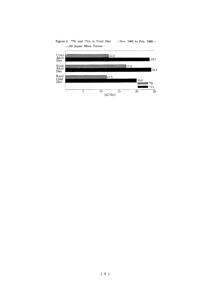Figure 4.  $\text{°9Sr}$  and  $\text{°137Cs}$  in Total Diet -Nov. 1965 to Feb. 1966--All Japan Mean Values-

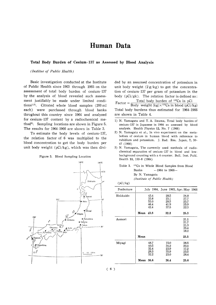### Human Data

#### Total Body Burden of Cesium-137 as Assessed by Blood Analysis

#### (Institue of Public Health)

Basic investigation conducted at the Institute of Public Health since 1963 through 1965 on the assessment of total body burden of cesium-137 by the analysis of blood revealed such assessment justifiably be made under limited conditions<sup>1,2)</sup>. Citrated whole blood samples (200 ml each) were purchased through blood banks throghout this country since1964 and analyzed for cesium-137 content by a radiochemical method<sup>3</sup>. Sampling locations are shown in Figure 5. The results for 1964-1966 are shown in Table 3.

To estimate the body levels of cesium-137, the relation factor of 6 was multiplied to the blood concentration to get the body burden per unit body weight ( $pCi/kg$ ), which was then divi-

Figure 5. Blood Sampling Location



ded by an assumed concentration of potassium in unit body weight  $(2g/kg)$  to get the concentration of cesium-137 per gram of potassium in the body ( $pCi/gk$ ). The relation factor is defined as:  $Factor = \frac{Total}{\sqrt{2}}$ 

Body weight Total body burdens thus estimated for 1964-1966 are shown in Table 4.

- 1) N. Yamagata and T. A. Iinuma, Total body burden of cesium-137 in Japanese in 1964 as assessed by blood analysis. Health Physics 12, No. 7 (1966)
- 2) N. Yamagata et al., In vivo experiment on the metabolism of cesium in human blood with reference to rubidium and potassium. J. Rad. Res. Japan, 7, 30-47(1966)
- 3) N. Yamagata, The currently used methods of radiochemical separation of cesium-137 in blood and lowbackground counting with a 4 counter. Bull. Inst. Publ. Health 13, 153-8 (1964)

| Table 3. <sup>137</sup> Cs in Whole Blood Samples from Blood |  |  |  |  |  |  |  |  |
|--------------------------------------------------------------|--|--|--|--|--|--|--|--|
| Banks<br>$-1964$ to 1966-                                    |  |  |  |  |  |  |  |  |
| By N. Yamagata                                               |  |  |  |  |  |  |  |  |
| (Institute of Public Health)                                 |  |  |  |  |  |  |  |  |

|  | (pCi/kg) |  |
|--|----------|--|

| Prefecture |                  |      |  |      | July 1964, June 1965, Apr.-May 1966 |  |
|------------|------------------|------|--|------|-------------------------------------|--|
| Hokkaido   |                  | 43.4 |  | 28.5 | 24.8                                |  |
|            |                  | 33.8 |  | 25.1 | 27.7                                |  |
|            |                  | 53.0 |  | 28.5 | 25.7                                |  |
|            |                  | 46.4 |  | 41.9 | 25.9                                |  |
|            |                  | 42.4 |  | 37.5 | 22.3                                |  |
|            | <b>Mean</b> 43.8 |      |  | 32.3 | 25.3                                |  |
| Aomori     |                  |      |  |      | 21.1                                |  |
|            |                  |      |  |      | 21.7                                |  |
|            |                  |      |  |      | 21.3                                |  |
|            |                  |      |  |      | 35.4                                |  |
|            |                  |      |  |      | 18.2                                |  |
|            | Mean             |      |  |      | 23.5                                |  |
| Miyagi     |                  | 48.7 |  | 15.0 | 38.5                                |  |
|            |                  | 40.5 |  | 34.2 | 20.4                                |  |
|            |                  | 32.4 |  | 23.9 | 17.2                                |  |
|            |                  | 29.3 |  | 35.9 | 23.5                                |  |
|            |                  | 32.2 |  | 23.0 | 28.4                                |  |
|            | Mean             | 36.6 |  | 26.4 | 25.6                                |  |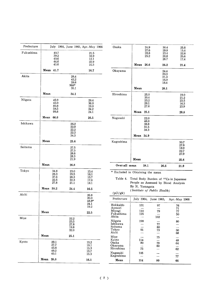| Prefecture |      |                                              |                                      |                              | July 1964, June 1965, Apr.-May 1966          |  |
|------------|------|----------------------------------------------|--------------------------------------|------------------------------|----------------------------------------------|--|
| Fukushima  |      | 40.7<br>39.2<br>40.6<br>44.6<br>43.6         |                                      |                              | 21.5<br>16.9<br>12.1<br>22.9<br>10.3         |  |
|            | Mean | 41.7                                         |                                      |                              | 16.7                                         |  |
| Akita      |      |                                              | 968*                                 | 29.4<br>43.2<br>28.6<br>35.1 |                                              |  |
|            | Mean |                                              | 34.1                                 |                              |                                              |  |
| Niigata    | Mean | 45.9<br>45.0<br>80.8<br>58.5<br>99.8<br>66.0 |                                      |                              | 29.4<br>36.0<br>19.0<br>24.2<br>24.1<br>26.5 |  |
| Ishikawa   |      |                                              | 26.2<br>22.9<br>22.2<br>22.3<br>34.3 |                              |                                              |  |
|            | Mean |                                              | 25.6                                 |                              |                                              |  |
| Saitama    |      |                                              | 27.5<br>27.5<br>28.6<br>28.3<br>21.9 |                              |                                              |  |
|            | Mean |                                              | 26.8                                 |                              |                                              |  |
| Tokyo      |      | 34.8<br>28.3<br>37.6<br>22.6<br>27.8         | 23.0<br>29.5<br>26.3<br>22.3<br>21.1 |                              | 15.4<br>16.1<br>15.7<br>17.0<br>18.1         |  |
|            | Mean | 30.2                                         | 24.4                                 |                              | 16.5                                         |  |
| Aichi      |      |                                              |                                      |                              | 26.8<br>20.0<br>48.8*<br>24.1<br>19.2        |  |
|            | Mean |                                              |                                      |                              | 22.5                                         |  |
| Miye       |      |                                              | 22.2<br>23.5<br>27.8<br>19.8<br>32.0 |                              |                                              |  |
|            | Mean |                                              | 25.1                                 |                              |                                              |  |
| Kyoto      |      | 29.1<br>27.7<br>43.8<br>49.2<br>40.1         |                                      |                              | 15.2<br>19.1<br>15.3<br>15.7<br>15.3         |  |
|            | Mean | 38.0                                         |                                      |                              | 16.1                                         |  |

| Osaka         |      | 24.9 | 30.4 | 25.8 |
|---------------|------|------|------|------|
|               |      | 27.6 | 29.8 | 15.4 |
|               |      | 28.8 | 23.4 | 22.8 |
|               |      | 25.2 | 20.8 | 25.6 |
|               |      |      | 26.7 | 17.4 |
|               |      |      |      |      |
|               | Mean | 26.6 | 26.2 | 21.4 |
| Okayama       |      |      | 24.4 |      |
|               |      |      | 20.3 |      |
|               |      |      | 21.3 |      |
|               |      |      | 16.0 |      |
|               |      |      | 18.4 |      |
|               | Mean |      | 20.1 |      |
| Hiroshima     |      | 25.0 |      | 19.0 |
|               |      | 20.4 |      | 21.2 |
|               |      | 23.2 |      | 23.5 |
|               |      | 29.1 |      | 16.3 |
|               |      | 27.6 |      | 23.9 |
|               | Mean | 25.1 |      | 20.8 |
| Nagasaki      |      | 22.0 |      |      |
|               |      | 48.0 |      |      |
|               |      | 38.8 |      |      |
|               |      | 31.5 |      |      |
|               |      | 34.3 |      |      |
|               | Mean | 34.9 |      |      |
| Kagoshima     |      |      |      | 30.7 |
|               |      |      |      | 27.6 |
|               |      |      |      | 18.9 |
|               |      |      |      | 22.7 |
|               |      |      |      | 27.9 |
|               | Mean |      |      | 25.6 |
| Over-all mean |      | 38.1 | 26.6 | 21.9 |
|               |      |      |      |      |

\* Excluded in Obtaining the mean

Table 4. Total Body Burden of <sup>137</sup>Cs in Japanese People as Assessed by Blood Analysis By N. Yamagata (Institute of Public Health)  $(pCi/gk)$ 

| Prefecture                    |            | July 1964, June 1965. | Apr. May 1966 |
|-------------------------------|------------|-----------------------|---------------|
| Hokkaido<br>Aomori            | 131        | 97                    | 76<br>71      |
| Miyagi<br>Fukushima<br>Akita  | 110<br>125 | 79<br>102             | 77<br>50      |
| Niigata<br>Ishikawa           | 198        | 77                    | 80            |
| Saitama<br>Tokyo<br>Aichi     | 91         | 80<br>73              | 50<br>68      |
| Miye<br>Kvoto                 | 114        | 75                    | 48            |
| Osaka<br>Okayama<br>Hiroshima | 80<br>75   | 79<br>60              | 64<br>62      |
| Nagasaki<br>Kagoshima         | 105        |                       | 77            |
| Mean                          | 114        | 80                    | 66            |

 $\overline{\phantom{0}}$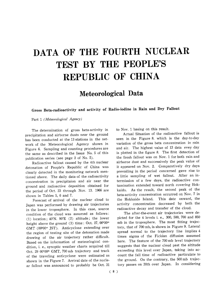# DATA OF THE FOURTH NUCLEAR TEST BY THE PEOPLE'S REPUBLIC OF CHINA

Meteorological Data

Gross Beta-radioactivity and activity of Radio-iodine in Rain and Dry Fallout

Part 1 (Meteorological Agency)

The determination of gross beta-activity in precipitation and airborne dusts near the ground has been conducted at the 13 stations in the network of the Meteorological Agency shown in Figure 6. Sampling and counting procedures are the same as described in the Issue No. 5 of this publication series (see page 2 of No. 5).

Radioactive fallout caused by the 4th nuclear detonation of People's Republic of China was clearly detected in the monitoring network mentioned above. The daily data of the radioactivity concentration in precipitaion and air near the ground and radioactive deposition obtained for the period of Oct. 23 through Nov. 13. 1966 are shown in Tables 5, 6 and 7.

Forecast of arrival of the nuclear cloud to Japan was performed by drawing air trajectories in the lower troposphere. In this case, source condition of the cloud was assumed as follows: (1) location;  $40^{\circ}$ N.  $90^{\circ}$ E (2) altitude; the lower height above the ground (3) time: Oct. 27, 00h00m GMT (00<sup>h</sup>00<sup>m</sup> JST). Anticyclone extending over the region of testing site of the detonation made drawing of the air trajectory rather difficult. Based on the information of meteorlogical condition, i. e., synoptic weather charts acquired till Oct. 29 00<sup>h00m</sup> GMT, 700 mb trajectory and track of the traveling anticyclone were estimated as shown in the Figure 7. Arrival date of the nuclear fallout was announced to probably be Oct. 31 to Nov. 1 basing on this result.

Actual Situation of the radioactive fallout is seen in the Figure 8. which is the day-to-day variation of the gross beta concentration in rain and air. The highest value of 13 data evey day is plotted in the figure 8. The first detection of the fresh fallout was on Nov. 1 for both rain and airborne dust and successively the peak value of it appeared on Nov. 2. Comparatively dry days prevailing in the period concerned gave rise to a little sampling of wet fallout. After an intermission of a few days, the radioactive contamination extended toward north covering Hokkaido. As the result, the second peak of the beta-activity concentration occurred on Nov. 7 in the Hokkaido Island. This date onward, the activity concentration decreased by both the radioactive decay and transfer of the cloud.

The after-the-event air trajectories were depicted for the 4 levels i. e., 300, 500, 700 and 850 mb in the troposphere. The most fitting trajectory, that of 700 mb, is shown in Figure 9. Lateral spread normal to the trajectory line implies 4 times sigma of the Fickian diffusion assumed here. The feature of the 700 mb level trajectory suggests that the nuclear cloud past the altitude exceeding this level over Japan, taking into account the fall time of radioactive particulate to the ground. On the contrary, the 500 mb trajectory passes on 30th over Japan. In considering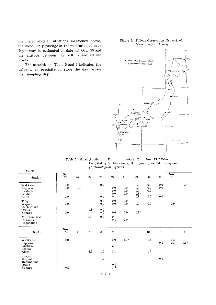the meteorological situations mentioned above, the most likely passage of the nuclear cloud over Japan may be estimated on date of Oct. 30 and the altitude between the 700 mb and 500 mb levels.

The asterisk in Table 5 and 6 indicates the value when precipitation stops the day before that sampling day.

#### Figure 6. Fallout Observation Network of Meteorological Ageney



Table 5. Gross  $\beta$ -activity in Rain -Oct. 23. to Nov. 13, 1966-Compiled by N. Murayama, H. Fujimoto, and M. Kamiyama. (Meteorological Agency)

| (pCi/ml)                                          |                   |                |     |                 |                          |                   |                                    |                              |                   |                              |                  |
|---------------------------------------------------|-------------------|----------------|-----|-----------------|--------------------------|-------------------|------------------------------------|------------------------------|-------------------|------------------------------|------------------|
| Station                                           | <b>Oct</b><br>23  | 24             | 25  | 26              | 27                       | 28                | 29                                 | 30                           | 31                | $\overline{\text{Nov}}$<br>1 | $\boldsymbol{2}$ |
| Wakkanai<br>Sapporo<br>Kushiro<br>Sendai<br>Akita | 0.0<br>0.0<br>0.0 | 0.0<br>$0.0\,$ |     | 0.0<br>0.1      | 0.0<br>0.0<br>0.0<br>0.1 | 0.0<br>0.0<br>0.0 | 0.0<br>0.0<br>0.0<br>$0.1*$<br>0.1 | 0.0<br>$0.0\,$<br>0.0<br>0.0 | 0.0<br>0.0<br>0.0 |                              | 0.0              |
| Tokyo<br>Wajima<br>Hachijojima                    | 0.0               |                |     | 0.0<br>0.0      | 0.0<br>$0.0\,$           | 0.0<br>0.0        | 0.0                                | 0.0                          |                   | 0.9                          |                  |
| Osaka<br>Yonago                                   | 0.0               |                | 0.1 | 0.1<br>0.0      | $0.0\,$                  | 0.0               | $0.1\mathrm{*}$                    |                              |                   |                              |                  |
| Murotomisaki<br>Fukuoka<br>Kagoshima              |                   |                | 0.0 | 0.0             | 0.1<br>0.1               | 0.0               |                                    |                              |                   |                              |                  |
| Station                                           | Nov<br>3          | $\overline{4}$ | 5   | $6\phantom{1}6$ | 7                        | 8                 | 9                                  | 10                           | 11                | 12                           | 13               |
| Wakkanai                                          | 0.0               |                |     |                 | 5.0                      | $1.7*$            |                                    | $1.5\,$                      | $0.3\,$           | 0.3<br>0.3                   | $0.1*$           |
| Sapporo<br>Kushiro<br>Sendai                      |                   |                |     |                 | 2.7                      |                   |                                    |                              |                   |                              |                  |
| Akita                                             |                   |                | 4.6 | 1.0             | 1.1                      |                   |                                    | $1.3\,$                      |                   |                              |                  |
| Tokyo<br>Wajima<br>Hachijojima                    |                   |                |     | $1.1\,$         |                          |                   |                                    |                              | 0.0               |                              |                  |
| Osaka<br>Yonago                                   | 0.2               |                |     |                 | $\rm 0.3$<br>1.5         |                   |                                    |                              |                   |                              |                  |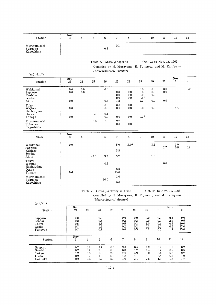| Station                              | Nov.<br>., | b | b   | -   | 9 | 10 | 12 | 13 |
|--------------------------------------|------------|---|-----|-----|---|----|----|----|
| Murotomisaki<br>Fukuoka<br>Kagoshima |            |   | 0.5 | 0.1 |   |    |    |    |

| Table 6. Gross $\beta$ -deposits | $-$ Oct. 23 to Nov. 13, 1966 $-$                      |
|----------------------------------|-------------------------------------------------------|
|                                  | Compiled by N. Murayama, H. Fujimoto, and M. Kamiyama |
| (Meteorological Agency)          |                                                       |

| (mCi/km <sup>2</sup> )                            |                   |                |         |                          |                          |                   |                                                              |                          |                   |                              |              |
|---------------------------------------------------|-------------------|----------------|---------|--------------------------|--------------------------|-------------------|--------------------------------------------------------------|--------------------------|-------------------|------------------------------|--------------|
| Station                                           | Oct<br>23         | 24             | 25      | 26                       | 27                       | 28                | 29                                                           | 30                       | 31                | $\overline{\text{Nov}}$<br>ı | $\mathbf{2}$ |
| Wakkanai<br>Sapporo<br>Kushiro<br>Sendai<br>Akita | 0.0<br>0.0<br>0.0 | 0.0<br>0.0     |         | 0.0<br>0.3               | 0.0<br>0.0<br>0.0<br>1.2 | 0.0<br>0.0<br>0.0 | 0.0<br>0.0<br>0.0<br>$0.1\ensuremath{^{\ast}}\xspace$<br>2.2 | 0.0<br>0.0<br>0.0<br>0.0 | 0.0<br>0.0<br>0.0 |                              | 0.0          |
| Tokyo<br>Wajima<br>Hachijojima<br>Osaka<br>Yonago | 0.0<br>0.0        |                | $0.3\,$ | 0.0<br>0.0<br>0.4<br>0.0 | 0.0<br>0.0<br>0.0        | 0.0<br>0.0<br>0.0 | 0.0<br>$0.2^\ast$                                            | 0.0                      |                   | 4.4                          |              |
| Murotomisaki<br>Fukuoka<br>Kagoshima              |                   |                | 0.0     | 0.0                      | $2.7\,$<br>0.3           | 0.0               |                                                              |                          |                   |                              |              |
| Station                                           | Nov<br>3          | $\overline{4}$ | 5       | $\bf 6$                  | 7                        | 8                 | 9                                                            | $10\,$                   | 11                | 12                           | 13           |
| Wakkanai<br>Sapporo<br>Kushiso<br>Sendai<br>Akita | 0.0               |                | 42.3    | 3.2                      | 5.0<br>3.8<br>5.2        | $13.0*$           |                                                              | 3.3<br>1.8               | 2.7               | 2.0<br>0.8                   | $0.2\,$      |
| Tokyo<br>Wajima<br>Hachijojima<br>Osaka<br>Yonago | 0.6               |                |         | 4.2                      | 0.8<br>15.0              |                   |                                                              |                          | 0.0               |                              |              |
| Murotomisaki<br>Fukuoka<br>Kagoshima              |                   |                |         | 10.0                     | 1.0<br>0.0               |                   |                                                              |                          |                   |                              |              |

Table 7. Gross  $\beta$ -activity in Dust --Oct. 24 to Nov. 12, 1966-Compiled by N. Murayama, H. Fujimoto, and M. Kamiyama. (Meteorological Agency)

| $(pCi/m^3)$                                    |                                         |                                 | untitor ongitus zigenty j       |                                 |                                 |                                 |                                         |                                     |                                 |                                    |
|------------------------------------------------|-----------------------------------------|---------------------------------|---------------------------------|---------------------------------|---------------------------------|---------------------------------|-----------------------------------------|-------------------------------------|---------------------------------|------------------------------------|
| Station                                        | Oct<br>24                               | 25                              | 26                              | 27                              | 28                              | 29                              | 30                                      | 31                                  | Nov                             | 2                                  |
| Sapporo<br>Sendai<br>Tokyo<br>Osaka            | 0.2<br>0.2<br>0.5<br>0.7                |                                 | 0.0<br>0.5<br>1.3<br>0.2<br>0.7 |                                 | 0.0<br>0.2<br>0.5<br>0.2<br>0.0 | 0.0<br>0.2<br>0.3<br>0.2<br>0.5 | 0.0<br>0.0<br>$1.0\,$<br>$0.2\,$<br>0.2 | 0.0<br>0.0<br>0.4<br>1.0<br>0.5     | 0.2<br>2.9<br>0.9<br>0.5<br>1.4 | 0.0<br>0.5<br>20.0<br>17.0<br>15.0 |
| Fukuoka<br>Station                             | 0.7<br>Nov<br>3                         | 4                               | 5                               | 6                               | 7                               | 8                               | 9                                       | 10                                  | 11                              | 12                                 |
| Sapporo<br>Sendai<br>Tokyo<br>Osaka<br>Fukuoka | 0.2<br>0.2<br>$1.2\,$<br>$0.2\,$<br>0.2 | 0.2<br>0.2<br>0.3<br>0.7<br>0.5 | 1.7<br>2.6<br>0.9<br>1.0<br>0.7 | 0.5<br>8.0<br>2.0<br>6.0<br>5.0 | 9.0<br>6.0<br>7.0<br>4.8<br>1.9 | 0.5<br>1.7<br>4.9<br>4.1<br>3.1 | 0.2<br>1.4<br>$3.2\,$<br>3.1<br>2.6     | $0.2\,$<br>0.7<br>2.4<br>3.4<br>1.9 | 1.2<br>0.7<br>0.8<br>0.7<br>1.7 | 0.2<br>0.5<br>2.7<br>1.2<br>1.7    |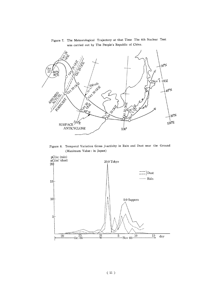

Figure 7. The Meteorological Trajectory at that Time The 4th Nuclear Test was carried out by The People's Republic of China.

Figure 8. Temporal Variation Gross  $\beta$ -activity in Rain and Dust near the Ground (Maximum Value: in Japan)

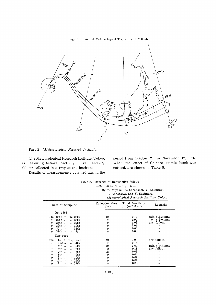

Figure 9. Actual Meteorological Trajectory of 700 mb.

Part 2 (Meteorological Research Institute)

The Meteorological Research Institute, Tokyo, is measuring beta-radioactivity in rain and dry fallout collected in a tray at the institute.

Results of measurements obtained during the

period from October 26, to November 12, 1966. When the effect of Chinese atomic bomb was noticed, are shown in Table 8.

|                                                                                                                                                                                                                                                                                                                                                                                                                         | Table 8. Deposits of Radioactive fallout<br>$-$ Oct. 26 to Nov. 12, 1966—    | By Y. Miyake, K. Saruhashi, Y. Katsuragi,<br>T. Kanazawa, and Y. Sugimura<br>(Meteorological Research Institute, Tokyo) |                                                                                                                        |
|-------------------------------------------------------------------------------------------------------------------------------------------------------------------------------------------------------------------------------------------------------------------------------------------------------------------------------------------------------------------------------------------------------------------------|------------------------------------------------------------------------------|-------------------------------------------------------------------------------------------------------------------------|------------------------------------------------------------------------------------------------------------------------|
| Date of Sampling                                                                                                                                                                                                                                                                                                                                                                                                        | Collection time<br>(hr)                                                      | Total $\beta$ -activity<br>$(mCi/km^2)$                                                                                 | Remarks                                                                                                                |
| Oct 1966                                                                                                                                                                                                                                                                                                                                                                                                                |                                                                              |                                                                                                                         |                                                                                                                        |
| 9 h,<br>26th to 9 h, 27th<br>$27th$ $\nu$<br>$\prime$ 28th<br>$\prime$<br>$28th$ $\prime\prime$<br>$\prime$ 29th<br>$^{\prime\prime}$<br>29th $\nu$<br>$\sim$ 30th<br>$\prime$<br>$\,\nu$ 31th<br>30th $\nu$<br>11<br>31th $\nu$<br>1st<br>$^{\prime\prime}$<br>$\prime$                                                                                                                                                | 24<br>n<br>11<br>$^{\prime\prime}$<br>$^{\prime\prime}$<br>$^{\prime\prime}$ | 0.12<br>0.09<br>0.03<br>0.03<br>0.03<br>0.03                                                                            | rain $(16.2 \text{ mm})$<br>$(9.0 \text{ mm})$<br>$^{\prime\prime}$<br>dry fallout<br>$\prime$<br>11<br>11             |
| Nov 1966<br>9 h,<br>$1st$ to $9h$ .<br>2 <sub>nd</sub><br>2nd $\nu$<br>4th<br>$\prime$<br>$\prime$<br>4th $\nu$<br>5th<br>$^{\prime\prime}$<br>$\prime$<br>5th $\nu$<br>7th<br>$^{\prime\prime}$<br>$^{\prime\prime}$<br>7th $\nu$<br>8th<br>$\prime$<br>$^{\prime\prime}$<br>8th $\nu$<br>9th<br>$^{\prime\prime}$<br>$\prime$<br>9th $\nu$<br>$\prime$ 10th<br>11<br>10th $\nu$<br>$\prime$ 11th<br>$^{\prime\prime}$ | 24<br>48<br>24<br>48<br>24<br>11<br>$^{\prime\prime}$<br>11                  | 7.90<br>2.15<br>2.00<br>0.11<br>0.07<br>0.04<br>0.07<br>0.04                                                            | dry fallout<br>n<br>rain $(0.8 \text{ mm})$<br>dry fallout<br>11<br>$\prime$<br>$^{\prime\prime}$<br>$^{\prime\prime}$ |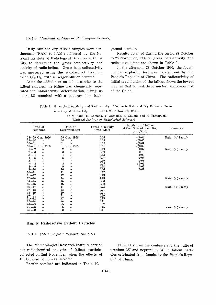#### Part 3 (National Institute of Radiological Sciences)

Daily rain and dry fallout samples were continuously (9 AM. to 9 AM.) collected by the National Institute of Radiological Sciences at Chiba City, to determine the gross beta-activity and activity of radio-iodine. Gross beta-radioactivity was measured using the standard of Uranium oxide  $(U_3 O_8)$  with a Geiger-Müller counter.

After the addition of an iodine carrier to the fallout samples, the iodine was chemically separated for radioactivity determination, using as iodine-131 standard with a beta-ray low background counter.

Results obtained during the period 28 October to 28 November, 1966 on gross beta-activity and radioactive-iodine are shown in Table 9.

In the afternoon 27 October 1966, the fourth nuclear explosion test was carried out by the People's Republic of China. The radioactivity of initial precipitation of the fallout shows the lowest level in that of past three nuclear explosion test of the China.

| Table 9. Gross B-radioactivity and Radioactivity of Iodine in Rain and Dry Fallout collected |                                  |  |  |
|----------------------------------------------------------------------------------------------|----------------------------------|--|--|
| in a trav at Chiba City                                                                      | $-$ Oct. 28 to Nov. 28, 1966 $-$ |  |  |

|  |  |  |  |                                               |  |  | by M. Saiki, H. Kamada, Y. Ohmomo, E. Nakano and H. Yamaguchi |
|--|--|--|--|-----------------------------------------------|--|--|---------------------------------------------------------------|
|  |  |  |  | (National Institute of Radiological Sciences) |  |  |                                                               |

| Date of<br>Sampling       |                   |               | Date of<br>Determination | Gross $\beta$ -activity<br>$(mCi/Km^2)$ | $\beta$ -activity of Iodine<br>at the Time of Sampling<br>$(mCi/km^2)$ | Remarks                    |
|---------------------------|-------------------|---------------|--------------------------|-----------------------------------------|------------------------------------------------------------------------|----------------------------|
| $28 - 29$ Oct. 1966       |                   | 29            | Oct. 1966                | 0.05                                    | ${<}0.04$                                                              | Rain $(< 2 \text{ mm})$    |
| $29 - 30$                 | $^{\prime\prime}$ | 30            | $^{\prime\prime}$        | 0.03                                    | $<$ 0.05                                                               |                            |
| $30 - 31$                 | $^{\prime\prime}$ | 31            | $\prime$                 | 0.00                                    | $<$ 0.01                                                               |                            |
| $31 - 1$ Nov. 1966        |                   |               | Nov. 1966                | 0.01                                    | ${<}0.02$                                                              |                            |
| $\overline{2}$<br>$1\sim$ | $^{\prime\prime}$ |               | $^{\prime\prime}$        | 0.49                                    | 0.07                                                                   | Rain $(< 2 \text{ mm})$    |
| $2 \sim 3$                | 11                | $\frac{2}{3}$ | $^{\prime\prime}$        | 0.99                                    | 0.13                                                                   |                            |
| $3 - 4$                   | 11                |               | $^{\prime\prime}$        | 0.13                                    | 0.02                                                                   |                            |
| $4\sim5$                  | 11                | $\frac{4}{5}$ | $^{\prime\prime}$        | 0.27                                    | 0.03                                                                   |                            |
| $5 \sim 7$                | 11                | 7             | $^{\prime\prime}$        | 0.19                                    | 0.03                                                                   |                            |
| $7 \sim 8$                | $^{\prime\prime}$ | 8             | $^{\prime\prime}$        | 0.05                                    | ${<}0.04$                                                              |                            |
| $8\sim9$                  | $^{\prime\prime}$ | 9             | $^{\prime\prime}$        | 0.14                                    | 0.03                                                                   |                            |
| $9 - 10$                  | $^{\prime\prime}$ | 10            | $^{\prime\prime}$        | 0.06                                    | 0.01                                                                   |                            |
| $10 - 11$                 | "                 | 11            | $\prime$                 | 0.12                                    |                                                                        |                            |
| $11 - 12$                 | 11                | 12            | $^{\prime\prime}$        | 0.13                                    |                                                                        |                            |
| $12 - 14$                 | $^{\prime\prime}$ | 14            | 1)                       | 1.13                                    |                                                                        | Rain $(< 2 \,\mathrm{mm})$ |
| $14 - 15$                 | $^{\prime\prime}$ | 15            | $\prime$                 | 0.33                                    |                                                                        |                            |
| $15 - 16$                 | "                 | 16            | ננ                       | 0.22                                    |                                                                        |                            |
| $16 - 17$                 | $^{\prime\prime}$ | 17            | $\prime$                 | 0.73                                    |                                                                        | Rain $(< 2 \,\mathrm{mm})$ |
| $17 - 18$                 | $^{\prime\prime}$ | 18            | $^{\prime\prime}$        | 0.71                                    |                                                                        |                            |
| $18 - 19$                 | 11                | 19            | 11                       | 0.21                                    |                                                                        |                            |
| $19 - 21$                 | $\prime$          | 21            | $\prime$                 | 0.29                                    |                                                                        |                            |
| $21 - 22$                 | 11                | 22            | $^{\prime\prime}$        | 0.15                                    |                                                                        |                            |
| $22 - 24$                 | 11                | 24            | "                        | 0.11                                    |                                                                        |                            |
| $24 - 25$                 | $^{\prime\prime}$ | 25            | $\prime$                 | 0.07                                    |                                                                        |                            |
| $25 - 26$                 | $^{\prime\prime}$ | 26            | $^{\prime\prime}$        | 0.45                                    |                                                                        | Rain $(< 2 \,\mathrm{mm})$ |
| $26 - 28$                 | $\prime$          | 28            | 11                       | 0.11                                    |                                                                        |                            |

#### **Highly Radioactive Fallout Particles**

#### Part 1 (Meteorological Research Institute)

The Meteorological Research Institute carried out radiochemical analysis of fallout particles collected on 2nd November when the effects of 4th Chinese bomb was detected.

Results obtained are indicated in Table 10.

Table 11 shows the contents and the ratio of uranium-237 and neptunium-239 in fallout particles originated from bombs by the People's Republic of China.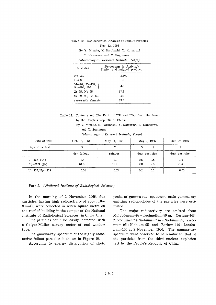| $-Mov.$ 12, 1966-                          |                                                         |  |  |  |  |  |  |  |  |  |
|--------------------------------------------|---------------------------------------------------------|--|--|--|--|--|--|--|--|--|
|                                            | By Y. Miyake, K. Saruhashi. Y. Katsuragi                |  |  |  |  |  |  |  |  |  |
| T. Kanazawa and Y. Sugimura                |                                                         |  |  |  |  |  |  |  |  |  |
| (Meteorological Research Institute, Tokyo) |                                                         |  |  |  |  |  |  |  |  |  |
| Nuclides                                   | (Percentage in Activity)<br>Fission and induced product |  |  |  |  |  |  |  |  |  |
| $Np-239$                                   | 3.4%                                                    |  |  |  |  |  |  |  |  |  |
| $11 - 237$                                 | 1.0                                                     |  |  |  |  |  |  |  |  |  |
| Mo-99, Te-132,<br>Ru-103, 106              | 3.8                                                     |  |  |  |  |  |  |  |  |  |
| $Zr-95$ , Nb- $95$                         | 17.5                                                    |  |  |  |  |  |  |  |  |  |
| Sr-89, 90, Ba-140                          | 4.9                                                     |  |  |  |  |  |  |  |  |  |
| rare-earth elments                         | 69.5                                                    |  |  |  |  |  |  |  |  |  |

Table 10. Radiochemical Analysis of Fallout Particles

Table 11. Contents and The Ratio of <sup>237</sup>U and <sup>239</sup>Np from the bomb by the People's Republic of China.

> By Y. Miyake, K. Saruhashi, Y. Katsuragi T. Kanazawa, and Y. Sugimura

(Meteorological Research Institute, Tokyo)

| Date of test                  | Oct. 16, 1964 | May 14, 1965 | May 9, 1966              | Oct. 27, 1966  |
|-------------------------------|---------------|--------------|--------------------------|----------------|
| Days after test               | 5             |              | 5                        |                |
|                               | dry fallout   | rainout      | dust particles           | dust particles |
| $U - 237$ (%)<br>$Np-239$ (%) | 2.5<br>64.0   | 1.0<br>31.2  | 0.6<br>0.8<br>2.8<br>2.5 | 1.0<br>21.4    |
| $U - 237/Np - 239$            | 0.04          | 0.03         | 0.3<br>0.2               | 0.05           |

#### Part 2. (National Institute of Radiological Sciences)

In the morning of 1 November 1966, five particles, having high radioactivity of about  $0.8\sim$  $8 \text{ m}\mu\text{Ci}$ , were collected in seven square metre on the roof of building in the campus of the National Institute of Radiological Sciences, in Chiba City.

The particles could be easily detected with a Geiger-Müller survey meter of end window type.

The gamma-ray spectrum of the highly radioactive fallout particles is shown in Figure 10.

According to energy distribution of photo

peaks of gamma-ray spectrum, main gamma-ray emitting radionuclides of the particles were estimated.

The major radioactivity are emitted from Molybdenum-99+Technetium-99 m, Cerium-143, Zirconium-97+Niobium-97 m+Niobium-97, Zirconium-95+Niobium-95 and Barium-140+Lanthanum-140 at 2 November 1966. The gamma-ray spectrum were observed to be similar to that of the particles from the third nuclear explosion test by the People's Republic of China.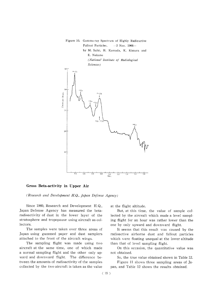

#### Gross Beta-activity in Upper Air

(Research and Development H.Q., Japan Defense Agency)

Since 1960, Research and Development H.Q., Japan Defense Agency has measured the betaradioactivity of dust in the lower layer of the stratosphere and tropopause using aircraft as collectors.

The samples were taken over three areas of Japan using gummed paper and dust samplers attached to the front of the aircraft wings.

The sampling flight was made using two aircraft at the same time, one of which made a normal sampling flight and the other only upward and downward flight. The difference between the amounts of radioactivity of the samples collected by the two aircraft is taken as the value

at the flight altitude.

But, at this time, the value of sample collected by the aircraft which made a level sampling flight for an hour was rather lower than the one by only upward and downward flight.

It seems that this result was caused by the radioactive airborne dust and fallout particles which were floating unequal at the lower altitude than that of level sampling flight.

On this occasion, the quantitative value was not obtained.

So, the true value obtained shown in Table 12.

Figure 11 shows three sampling areas of Japan, and Table 12 shows the results obtained.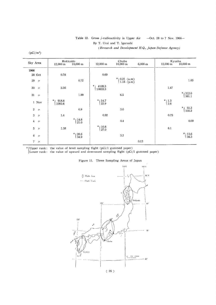#### Table 12. Gross  $\beta$ -radioactivity in Upper Air  $-$ Oct. 28 to 7 Nov. 1966 $-$ By T. Urai and T. Igarashi

(Research and Development H.Q., Japan Defense Agency)

| $DCI/m^3$ |
|-----------|
|           |

| Sky Area                             | Hokkaido<br>$12,000 \; \mathrm{m}$                    | $10,000 \text{ m}$                                       | $12,000 \; \mathrm{m}$     | Chubu<br>$10,000 \; \mathrm{m}$                                                           | 6,000 m | $12,000 \text{ m}$  | Kyushu<br>$10,000 \text{ m}$                                     |
|--------------------------------------|-------------------------------------------------------|----------------------------------------------------------|----------------------------|-------------------------------------------------------------------------------------------|---------|---------------------|------------------------------------------------------------------|
|                                      |                                                       |                                                          |                            |                                                                                           |         |                     |                                                                  |
| 1966                                 |                                                       |                                                          |                            |                                                                                           |         |                     |                                                                  |
| $28\,$ Oct                           | 0.78                                                  |                                                          | 0.69                       |                                                                                           |         |                     |                                                                  |
| $29 - y$                             |                                                       | $0.72\,$                                                 |                            | $\begin{array}{c} * \\ \hspace{-6pt} \text{[0.21 (a.m)} \\ \text{1.15 (p.m)} \end{array}$ |         |                     | 1.03                                                             |
| 30<br>$^{\prime\prime}$              | 2.56                                                  |                                                          | ∗<br>$4105.3$<br>$10833.3$ |                                                                                           |         | 1.47                |                                                                  |
| 31<br>$^{\prime\prime}$              |                                                       | 1.99                                                     |                            | 6.5                                                                                       |         |                     | $*$ <sub>1</sub> 312.0<br>361.1                                  |
| 1 Nov                                | $\begin{array}{c} 918.8 \\ 1092.6 \end{array}$<br>$*$ |                                                          | $*$ { $14.7$ } $22.9$      |                                                                                           |         | $*_{1.3}$ $1.3$ 2.6 |                                                                  |
| $2^{\circ}$<br>$^{\prime\prime}$     |                                                       | 0.9                                                      |                            | 3.0                                                                                       |         |                     | $\begin{array}{c} 51.3 \\ 105.2 \end{array}$<br>$*$ <sub>1</sub> |
| 3<br>$\prime\prime$                  | 1.4                                                   |                                                          | 0.92                       |                                                                                           |         | 0.75                |                                                                  |
| $\overline{4}$<br>$\prime\prime$     |                                                       | $\substack{*} \begin{array}{c} 14.8 \\ 21.0 \end{array}$ |                            | 0.4                                                                                       |         |                     | 0.09                                                             |
| $5\phantom{.0}$<br>$^{\prime\prime}$ | 1.38                                                  |                                                          | $*$ { $\frac{10.8}{27.0}$  |                                                                                           |         | 6.1                 |                                                                  |
| $6\phantom{.}6$<br>$^{\prime\prime}$ |                                                       | $*$ { $^{28.6}_{34.9}$                                   |                            | 3.2                                                                                       |         |                     | $*$ <sub>(13.6)</sub> $\frac{13.6}{36.3}$                        |
| 7 <sup>1</sup><br>$\eta$             |                                                       |                                                          |                            |                                                                                           | 0.13    |                     |                                                                  |

\*(Upper rank: the value of level sampling flight (pCi/1 gummed paper)

(Lower rank: the value of upward and downward sampling flight (pCi/1 gummed paper)

Figure 11. Three Sampling Areas of Japan



 $\langle$  16  $\rangle$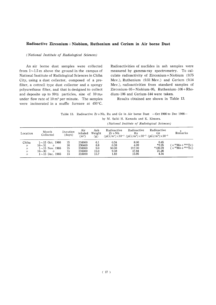#### Radioactive Zirconium+Niobium, Ruthenium and Cerium in Air borne Dust

#### (National Institute of Radiological Sciences)

An air borne dust samples were collected from  $1 \sim 1.5$  m above the ground in the campus of National Institute of Radiological Sciences in Chiba City, using a dust collector, composed of a prefilter, a cottrell type dust collector and a spongy polyurethane filter, and that is designed to collect and deposite up to 99% particles, size of  $10 \text{ m}\mu$ under flow rate of 10 m<sup>3</sup> per minute. The samples were incinerated in a muffle furnace at 450°C.

Radioactivities of nuclides in ash samples were measured by gamma-ray spectrometry. To calculate radioactivity of Zirconium + Niobium (0.75 Mev.), Ruthenium (0.51 Mev.) and Cerium (0.14 Mev.), radioactivities from standard samples of Zirconium-95+Niobium-95, Ruthenium-106+Rhodium-106 and Cerium-144 were taken.

Results obtained are shown in Table 13.

Table 13. Radioactive  $Zr + Nb$ , Ru and Ce in Air borne Dust - Oct 1966 to Dec 1966by M. Saiki H. Kamada and K. Kimura.

(National Institute of Radiological Sciences)

| Location          | Month<br>Collected             | Duration<br>(days) | Air<br>inhaled<br>$\rm (m^3)$ | Ash<br>Weight<br>$\left( g\right)$ | Radioactive<br>$2r + Nb$ | Radioactive<br>Ru | Radioactive<br>Ce<br>$(pCi/m^3)\times 10^{-3} (pCi/m^3)\times 10^{-3} (pCi/m^3)\times 10^{-3}$ | Remarks                                    |
|-------------------|--------------------------------|--------------------|-------------------------------|------------------------------------|--------------------------|-------------------|------------------------------------------------------------------------------------------------|--------------------------------------------|
| Chiba             | $1{\sim}15$ Oct. 1966          | 15                 | 216000                        | 6.1                                | 0.34                     | 8.00              | 0.45                                                                                           |                                            |
| $^{\prime\prime}$ | $16 - 31$                      | 16                 | 230400                        | 8.8                                | 0.38                     | 4.09              | $*2.25$                                                                                        | $(+$ <sup>99</sup> Mo + <sup>99m</sup> Tc) |
| $^{\prime\prime}$ | $1{\sim}15$ Nov. 1966          | 15                 | 216000                        | 9.0                                | 50.00                    | 217.00            | $*120.79$                                                                                      | $( + {}^{99}Mo + {}^{99}mTc)$              |
| $^{\prime\prime}$ | $16 - 30$<br>$^{\prime\prime}$ | 15                 | 216000                        | 15.0                               | 9.38                     | 47.84             | 21.26                                                                                          |                                            |
| $^{\prime\prime}$ | $1{\sim}15$ Dec. 1966          | 15                 | 216000                        | 15.7                               | 1.82                     | 15.95             | 4.34                                                                                           |                                            |